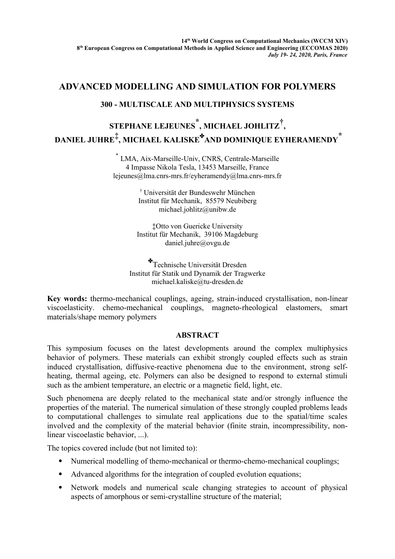## **ADVANCED MODELLING AND SIMULATION FOR POLYMERS**

## **300 - MULTISCALE AND MULTIPHYSICS SYSTEMS**

## **STEPHANE LEJEUNES \* , MICHAEL JOHLITZ† , DANIEL JUHRE‡ , MICHAEL KALISKE AND DOMINIQUE EYHERAMENDY \***

\* LMA, Aix-Marseille-Univ, CNRS, Centrale-Marseille 4 Impasse Nikola Tesla, 13453 Marseille, France lejeunes@lma.cnrs-mrs.fr/eyheramendy@lma.cnrs-mrs.fr

> † Universität der Bundeswehr München Institut für Mechanik, 85579 Neubiberg [michael.johlitz@unibw.de](mailto:michael.johlitz@unibw.de)

‡Otto von Guericke University Institut für Mechanik, 39106 Magdeburg [daniel.juhre@ovgu.de](mailto:daniel.juhre@ovgu.de)

\*Technische Universität Dresden Institut für Statik und Dynamik der Tragwerke michael.kaliske@tu-dresden.de

**Key words:** thermo-mechanical couplings, ageing, strain-induced crystallisation, non-linear viscoelasticity. chemo-mechanical couplings, magneto-rheological elastomers, smart materials/shape memory polymers

## **ABSTRACT**

This symposium focuses on the latest developments around the complex multiphysics behavior of polymers. These materials can exhibit strongly coupled effects such as strain induced crystallisation, diffusive-reactive phenomena due to the environment, strong selfheating, thermal ageing, etc. Polymers can also be designed to respond to external stimuli such as the ambient temperature, an electric or a magnetic field, light, etc.

Such phenomena are deeply related to the mechanical state and/or strongly influence the properties of the material. The numerical simulation of these strongly coupled problems leads to computational challenges to simulate real applications due to the spatial/time scales involved and the complexity of the material behavior (finite strain, incompressibility, nonlinear viscoelastic behavior, ...).

The topics covered include (but not limited to):

- Numerical modelling of themo-mechanical or thermo-chemo-mechanical couplings;
- Advanced algorithms for the integration of coupled evolution equations;
- Network models and numerical scale changing strategies to account of physical aspects of amorphous or semi-crystalline structure of the material;